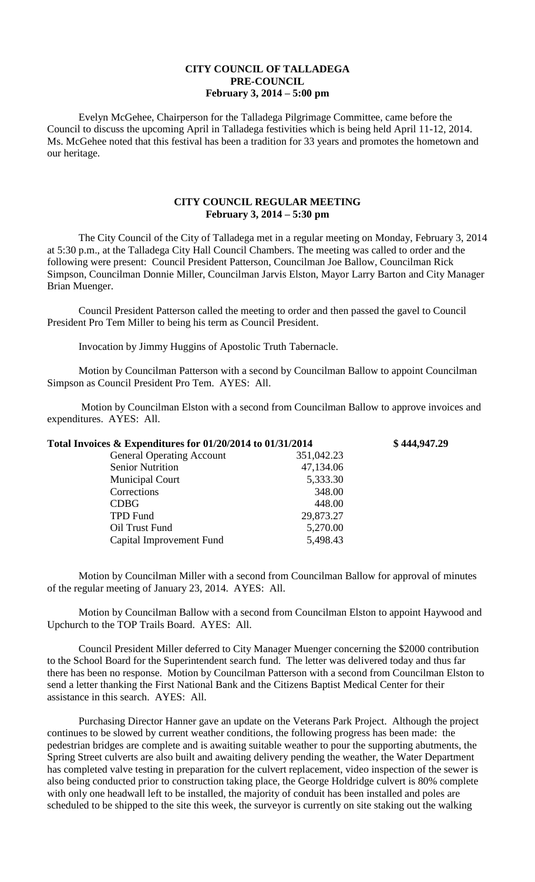## **CITY COUNCIL OF TALLADEGA PRE-COUNCIL February 3, 2014 – 5:00 pm**

Evelyn McGehee, Chairperson for the Talladega Pilgrimage Committee, came before the Council to discuss the upcoming April in Talladega festivities which is being held April 11-12, 2014. Ms. McGehee noted that this festival has been a tradition for 33 years and promotes the hometown and our heritage.

## **CITY COUNCIL REGULAR MEETING February 3, 2014 – 5:30 pm**

The City Council of the City of Talladega met in a regular meeting on Monday, February 3, 2014 at 5:30 p.m., at the Talladega City Hall Council Chambers. The meeting was called to order and the following were present: Council President Patterson, Councilman Joe Ballow, Councilman Rick Simpson, Councilman Donnie Miller, Councilman Jarvis Elston, Mayor Larry Barton and City Manager Brian Muenger.

Council President Patterson called the meeting to order and then passed the gavel to Council President Pro Tem Miller to being his term as Council President.

Invocation by Jimmy Huggins of Apostolic Truth Tabernacle.

Motion by Councilman Patterson with a second by Councilman Ballow to appoint Councilman Simpson as Council President Pro Tem. AYES: All.

Motion by Councilman Elston with a second from Councilman Ballow to approve invoices and expenditures. AYES: All.

| Total Invoices & Expenditures for 01/20/2014 to 01/31/2014 |            | \$444,947.29 |
|------------------------------------------------------------|------------|--------------|
| <b>General Operating Account</b>                           | 351,042.23 |              |
| <b>Senior Nutrition</b>                                    | 47,134.06  |              |
| <b>Municipal Court</b>                                     | 5,333.30   |              |
| Corrections                                                | 348.00     |              |
| <b>CDBG</b>                                                | 448.00     |              |
| <b>TPD Fund</b>                                            | 29,873.27  |              |
| Oil Trust Fund                                             | 5,270.00   |              |
| Capital Improvement Fund                                   | 5,498.43   |              |

Motion by Councilman Miller with a second from Councilman Ballow for approval of minutes of the regular meeting of January 23, 2014. AYES: All.

Motion by Councilman Ballow with a second from Councilman Elston to appoint Haywood and Upchurch to the TOP Trails Board. AYES: All.

Council President Miller deferred to City Manager Muenger concerning the \$2000 contribution to the School Board for the Superintendent search fund. The letter was delivered today and thus far there has been no response. Motion by Councilman Patterson with a second from Councilman Elston to send a letter thanking the First National Bank and the Citizens Baptist Medical Center for their assistance in this search. AYES: All.

Purchasing Director Hanner gave an update on the Veterans Park Project. Although the project continues to be slowed by current weather conditions, the following progress has been made: the pedestrian bridges are complete and is awaiting suitable weather to pour the supporting abutments, the Spring Street culverts are also built and awaiting delivery pending the weather, the Water Department has completed valve testing in preparation for the culvert replacement, video inspection of the sewer is also being conducted prior to construction taking place, the George Holdridge culvert is 80% complete with only one headwall left to be installed, the majority of conduit has been installed and poles are scheduled to be shipped to the site this week, the surveyor is currently on site staking out the walking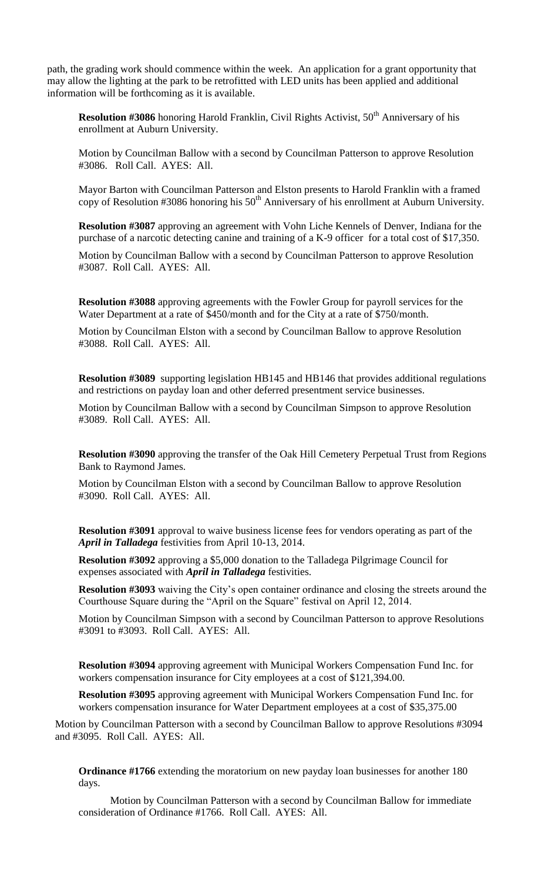path, the grading work should commence within the week. An application for a grant opportunity that may allow the lighting at the park to be retrofitted with LED units has been applied and additional information will be forthcoming as it is available.

**Resolution #3086** honoring Harold Franklin, Civil Rights Activist, 50<sup>th</sup> Anniversary of his enrollment at Auburn University.

Motion by Councilman Ballow with a second by Councilman Patterson to approve Resolution #3086. Roll Call. AYES: All.

Mayor Barton with Councilman Patterson and Elston presents to Harold Franklin with a framed copy of Resolution #3086 honoring his  $50<sup>th</sup>$  Anniversary of his enrollment at Auburn University.

**Resolution #3087** approving an agreement with Vohn Liche Kennels of Denver, Indiana for the purchase of a narcotic detecting canine and training of a K-9 officer for a total cost of \$17,350.

Motion by Councilman Ballow with a second by Councilman Patterson to approve Resolution #3087. Roll Call. AYES: All.

**Resolution #3088** approving agreements with the Fowler Group for payroll services for the Water Department at a rate of \$450/month and for the City at a rate of \$750/month.

Motion by Councilman Elston with a second by Councilman Ballow to approve Resolution #3088. Roll Call. AYES: All.

**Resolution #3089** supporting legislation HB145 and HB146 that provides additional regulations and restrictions on payday loan and other deferred presentment service businesses.

Motion by Councilman Ballow with a second by Councilman Simpson to approve Resolution #3089. Roll Call. AYES: All.

**Resolution #3090** approving the transfer of the Oak Hill Cemetery Perpetual Trust from Regions Bank to Raymond James.

Motion by Councilman Elston with a second by Councilman Ballow to approve Resolution #3090. Roll Call. AYES: All.

**Resolution #3091** approval to waive business license fees for vendors operating as part of the *April in Talladega* festivities from April 10-13, 2014.

**Resolution #3092** approving a \$5,000 donation to the Talladega Pilgrimage Council for expenses associated with *April in Talladega* festivities.

**Resolution #3093** waiving the City's open container ordinance and closing the streets around the Courthouse Square during the "April on the Square" festival on April 12, 2014.

Motion by Councilman Simpson with a second by Councilman Patterson to approve Resolutions #3091 to #3093. Roll Call. AYES: All.

**Resolution #3094** approving agreement with Municipal Workers Compensation Fund Inc. for workers compensation insurance for City employees at a cost of \$121,394.00.

**Resolution #3095** approving agreement with Municipal Workers Compensation Fund Inc. for workers compensation insurance for Water Department employees at a cost of \$35,375.00

Motion by Councilman Patterson with a second by Councilman Ballow to approve Resolutions #3094 and #3095. Roll Call. AYES: All.

**Ordinance #1766** extending the moratorium on new payday loan businesses for another 180 days.

Motion by Councilman Patterson with a second by Councilman Ballow for immediate consideration of Ordinance #1766. Roll Call. AYES: All.